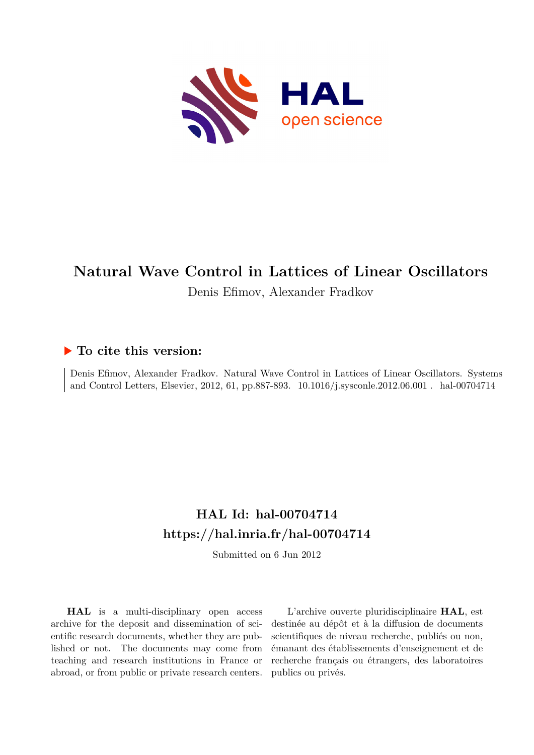

# **Natural Wave Control in Lattices of Linear Oscillators** Denis Efimov, Alexander Fradkov

# **To cite this version:**

Denis Efimov, Alexander Fradkov. Natural Wave Control in Lattices of Linear Oscillators. Systems and Control Letters, Elsevier, 2012, 61, pp.887-893. 10.1016/j.sysconle.2012.06.001 . hal-00704714

# **HAL Id: hal-00704714 <https://hal.inria.fr/hal-00704714>**

Submitted on 6 Jun 2012

**HAL** is a multi-disciplinary open access archive for the deposit and dissemination of scientific research documents, whether they are published or not. The documents may come from teaching and research institutions in France or abroad, or from public or private research centers.

L'archive ouverte pluridisciplinaire **HAL**, est destinée au dépôt et à la diffusion de documents scientifiques de niveau recherche, publiés ou non, émanant des établissements d'enseignement et de recherche français ou étrangers, des laboratoires publics ou privés.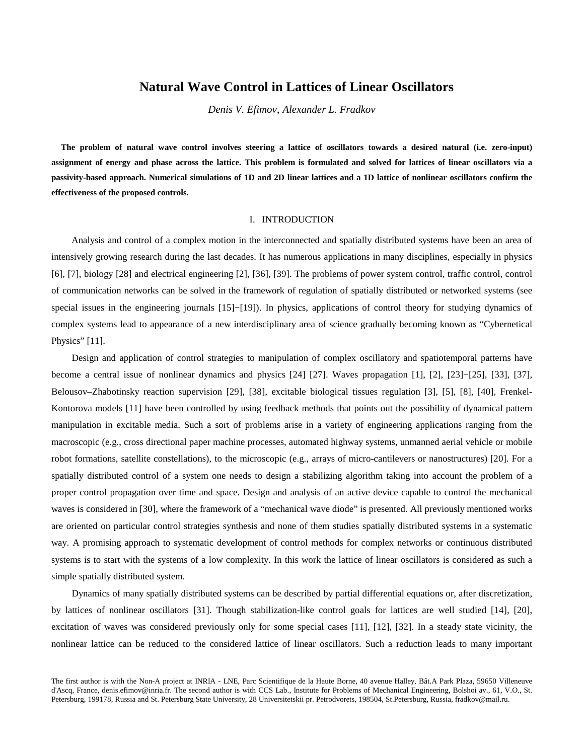# **Natural Wave Control in Lattices of Linear Oscillators**

*Denis V. Efimov*, *Alexander L. Fradkov* 

**The problem of natural wave control involves steering a lattice of oscillators towards a desired natural (i.e. zero-input) assignment of energy and phase across the lattice. This problem is formulated and solved for lattices of linear oscillators via a passivity-based approach. Numerical simulations of 1D and 2D linear lattices and a 1D lattice of nonlinear oscillators confirm the effectiveness of the proposed controls.** 

## I. INTRODUCTION

 Analysis and control of a complex motion in the interconnected and spatially distributed systems have been an area of intensively growing research during the last decades. It has numerous applications in many disciplines, especially in physics [6], [7], biology [28] and electrical engineering [2], [36], [39]. The problems of power system control, traffic control, control of communication networks can be solved in the framework of regulation of spatially distributed or networked systems (see special issues in the engineering journals [15]–[19]). In physics, applications of control theory for studying dynamics of complex systems lead to appearance of a new interdisciplinary area of science gradually becoming known as "Cybernetical Physics" [11].

 Design and application of control strategies to manipulation of complex oscillatory and spatiotemporal patterns have become a central issue of nonlinear dynamics and physics [24] [27]. Waves propagation [1], [2], [23]−[25], [33], [37], Belousov–Zhabotinsky reaction supervision [29], [38], excitable biological tissues regulation [3], [5], [8], [40], Frenkel-Kontorova models [11] have been controlled by using feedback methods that points out the possibility of dynamical pattern manipulation in excitable media. Such a sort of problems arise in a variety of engineering applications ranging from the macroscopic (e.g., cross directional paper machine processes, automated highway systems, unmanned aerial vehicle or mobile robot formations, satellite constellations), to the microscopic (e.g., arrays of micro-cantilevers or nanostructures) [20]. For a spatially distributed control of a system one needs to design a stabilizing algorithm taking into account the problem of a proper control propagation over time and space. Design and analysis of an active device capable to control the mechanical waves is considered in [30], where the framework of a "mechanical wave diode" is presented. All previously mentioned works are oriented on particular control strategies synthesis and none of them studies spatially distributed systems in a systematic way. A promising approach to systematic development of control methods for complex networks or continuous distributed systems is to start with the systems of a low complexity. In this work the lattice of linear oscillators is considered as such a simple spatially distributed system.

 Dynamics of many spatially distributed systems can be described by partial differential equations or, after discretization, by lattices of nonlinear oscillators [31]. Though stabilization-like control goals for lattices are well studied [14], [20], excitation of waves was considered previously only for some special cases [11], [12], [32]. In a steady state vicinity, the nonlinear lattice can be reduced to the considered lattice of linear oscillators. Such a reduction leads to many important

The first author is with the Non-A project at INRIA - LNE, Parc Scientifique de la Haute Borne, 40 avenue Halley, Bât.A Park Plaza, 59650 Villeneuve d'Ascq, France, denis.efimov@inria.fr. The second author is with CCS Lab., Institute for Problems of Mechanical Engineering, Bolshoi av., 61, V.O., St. Petersburg, 199178, Russia and St. Petersburg State University, 28 Universitetskii pr. Petrodvorets, 198504, St.Petersburg, Russia, fradkov@mail.ru.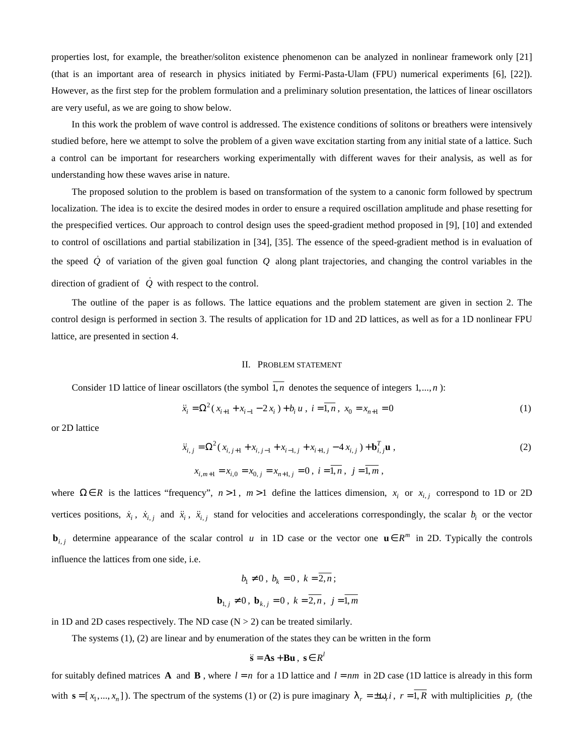properties lost, for example, the breather/soliton existence phenomenon can be analyzed in nonlinear framework only [21] (that is an important area of research in physics initiated by Fermi-Pasta-Ulam (FPU) numerical experiments [6], [22]). However, as the first step for the problem formulation and a preliminary solution presentation, the lattices of linear oscillators are very useful, as we are going to show below.

 In this work the problem of wave control is addressed. The existence conditions of solitons or breathers were intensively studied before, here we attempt to solve the problem of a given wave excitation starting from any initial state of a lattice. Such a control can be important for researchers working experimentally with different waves for their analysis, as well as for understanding how these waves arise in nature.

 The proposed solution to the problem is based on transformation of the system to a canonic form followed by spectrum localization. The idea is to excite the desired modes in order to ensure a required oscillation amplitude and phase resetting for the prespecified vertices. Our approach to control design uses the speed-gradient method proposed in [9], [10] and extended to control of oscillations and partial stabilization in [34], [35]. The essence of the speed-gradient method is in evaluation of the speed  $\dot{Q}$  of variation of the given goal function  $Q$  along plant trajectories, and changing the control variables in the direction of gradient of  $\dot{Q}$  with respect to the control.

 The outline of the paper is as follows. The lattice equations and the problem statement are given in section 2. The control design is performed in section 3. The results of application for 1D and 2D lattices, as well as for a 1D nonlinear FPU lattice, are presented in section 4.

#### II. PROBLEM STATEMENT

Consider 1D lattice of linear oscillators (the symbol  $\overline{1,n}$  denotes the sequence of integers 1,..., *n*):

$$
\ddot{x}_i = \Omega^2 (x_{i+1} + x_{i-1} - 2x_i) + b_i u, \ i = \overline{1, n}, \ x_0 = x_{n+1} = 0 \tag{1}
$$

or 2D lattice

$$
\ddot{x}_{i,j} = \Omega^2 (x_{i,j+1} + x_{i,j-1} + x_{i-1,j} + x_{i+1,j} - 4 x_{i,j}) + \mathbf{b}_{i,j}^T \mathbf{u},
$$
  
\n
$$
x_{i,m+1} = x_{i,0} = x_{0,j} = x_{n+1,j} = 0, \ i = \overline{1,n}, \ j = \overline{1,m},
$$
 (2)

where  $\Omega \in R$  is the lattices "frequency",  $n > 1$ ,  $m > 1$  define the lattices dimension,  $x_i$  or  $x_{i,j}$  correspond to 1D or 2D vertices positions,  $\dot{x}_i$ ,  $\dot{x}_{i,j}$  and  $\ddot{x}_i$ ,  $\ddot{x}_{i,j}$  stand for velocities and accelerations correspondingly, the scalar  $b_i$  or the vector **b**<sub>*i, j*</sub> determine appearance of the scalar control *u* in 1D case or the vector one  $\mathbf{u} \in R^m$  in 2D. Typically the controls influence the lattices from one side, i.e.

$$
b_1 \neq 0
$$
,  $b_k = 0$ ,  $k = \overline{2, n}$ ;  
 $\mathbf{b}_{1,j} \neq 0$ ,  $\mathbf{b}_{k,j} = 0$ ,  $k = \overline{2, n}$ ,  $j = \overline{1, m}$ 

in 1D and 2D cases respectively. The ND case  $(N > 2)$  can be treated similarly.

The systems (1), (2) are linear and by enumeration of the states they can be written in the form

$$
\ddot{\mathbf{s}} = \mathbf{A}\mathbf{s} + \mathbf{B}\mathbf{u} \ , \ \mathbf{s} \in R^l
$$

for suitably defined matrices **A** and **B**, where  $l = n$  for a 1D lattice and  $l = nm$  in 2D case (1D lattice is already in this form with  $\mathbf{s} = [x_1, ..., x_n]$ ). The spectrum of the systems (1) or (2) is pure imaginary  $\lambda_r = \pm \omega_r i$ ,  $r = 1, R$  with multiplicities  $p_r$  (the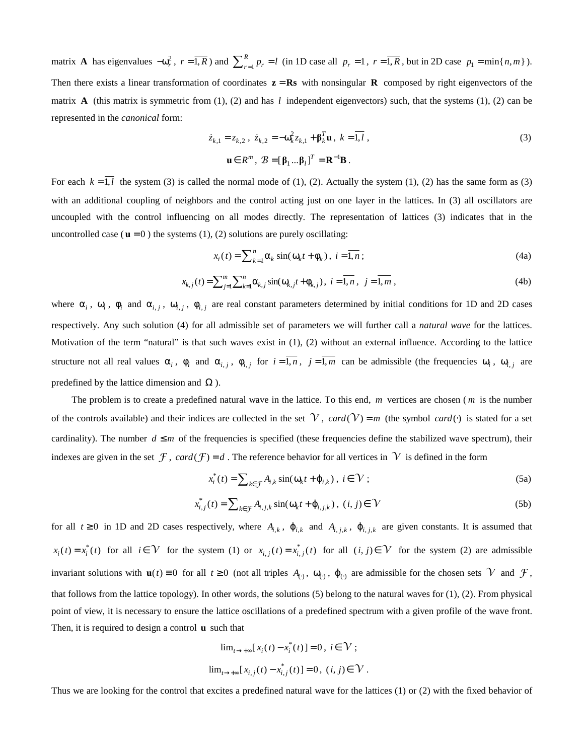matrix **A** has eigenvalues  $-\omega_r^2$ ,  $r = \overline{1, R}$ ) and  $\sum_{r=1}^R$  $\sum_{r=1}^{R} p_r = l$  (in 1D case all  $p_r = 1$ ,  $r = \overline{1, R}$ , but in 2D case  $p_1 = \min\{n, m\}$ ). Then there exists a linear transformation of coordinates  $z = \mathbf{R}s$  with nonsingular **R** composed by right eigenvectors of the matrix **A** (this matrix is symmetric from (1), (2) and has *l* independent eigenvectors) such, that the systems (1), (2) can be represented in the *canonical* form:

$$
\dot{z}_{k,1} = z_{k,2} , \ \dot{z}_{k,2} = -\omega_k^2 z_{k,1} + \mathbf{\beta}_k^T \mathbf{u} , \ k = \overline{1, l} ,
$$
  

$$
\mathbf{u} \in R^m , \ \mathcal{B} = [\mathbf{\beta}_1 ... \mathbf{\beta}_l]^T = \mathbf{R}^{-1} \mathbf{B} .
$$
 (3)

For each  $k = \overline{1, l}$  the system (3) is called the normal mode of (1), (2). Actually the system (1), (2) has the same form as (3) with an additional coupling of neighbors and the control acting just on one layer in the lattices. In (3) all oscillators are uncoupled with the control influencing on all modes directly. The representation of lattices (3) indicates that in the uncontrolled case ( $\mathbf{u} = 0$ ) the systems (1), (2) solutions are purely oscillating:

$$
x_i(t) = \sum_{k=1}^n \alpha_k \sin(\omega_k t + \phi_k), \ i = \overline{1, n};
$$
 (4a)

$$
x_{k,j}(t) = \sum_{j=1}^{m} \sum_{k=1}^{n} \alpha_{k,j} \sin(\omega_{k,j} t + \phi_{k,j}), \ i = \overline{1, n}, \ j = \overline{1, m}, \tag{4b}
$$

where  $\alpha_i$ ,  $\omega_i$ ,  $\phi_i$  and  $\alpha_{i,j}$ ,  $\omega_{i,j}$ ,  $\phi_{i,j}$  are real constant parameters determined by initial conditions for 1D and 2D cases respectively. Any such solution (4) for all admissible set of parameters we will further call a *natural wave* for the lattices. Motivation of the term "natural" is that such waves exist in (1), (2) without an external influence. According to the lattice structure not all real values  $\alpha_i$ ,  $\phi_i$  and  $\alpha_{i,j}$ ,  $\phi_{i,j}$  for  $i=1,n$ ,  $j=1,m$  can be admissible (the frequencies  $\omega_i$ ,  $\omega_{i,j}$  are predefined by the lattice dimension and  $\Omega$ ).

 The problem is to create a predefined natural wave in the lattice. To this end, *m* vertices are chosen ( *m* is the number of the controls available) and their indices are collected in the set  $\mathcal V$ , *card*( $\mathcal V$ ) = m (the symbol *card*( $\cdot$ ) is stated for a set cardinality). The number  $d \leq m$  of the frequencies is specified (these frequencies define the stabilized wave spectrum), their indexes are given in the set  $\mathcal F$ , *card*  $(\mathcal F) = d$ . The reference behavior for all vertices in  $\mathcal V$  is defined in the form

$$
x_i^*(t) = \sum_{k \in \mathcal{F}} A_{i,k} \sin(\omega_k t + \varphi_{i,k}), \ i \in \mathcal{V};
$$
\n(5a)

$$
x_{i,j}^*(t) = \sum_{k \in \mathcal{F}} A_{i,j,k} \sin(\omega_k t + \varphi_{i,j,k}), \ (i,j) \in \mathcal{V}
$$
 (5b)

for all  $t \ge 0$  in 1D and 2D cases respectively, where  $A_{i,k}$ ,  $\varphi_{i,k}$  and  $A_{i,j,k}$ ,  $\varphi_{i,j,k}$  are given constants. It is assumed that  $x_i(t) = x_i^*(t)$  for all  $i \in \mathcal{V}$  for the system (1) or  $x_{i,j}(t) = x_{i,j}^*(t)$  for all  $(i, j) \in \mathcal{V}$  for the system (2) are admissible invariant solutions with  $\mathbf{u}(t) \equiv 0$  for all  $t \ge 0$  (not all triples  $A_{(.)}$ ,  $\omega_{(.)}$ ,  $\varphi_{(.)}$  are admissible for the chosen sets  $\mathcal V$  and  $\mathcal F$ , that follows from the lattice topology). In other words, the solutions (5) belong to the natural waves for (1), (2). From physical point of view, it is necessary to ensure the lattice oscillations of a predefined spectrum with a given profile of the wave front. Then, it is required to design a control **u** such that

$$
\lim_{t \to +\infty} [x_i(t) - x_i^*(t)] = 0, \ i \in \mathcal{V};
$$
  

$$
\lim_{t \to +\infty} [x_{i,j}(t) - x_{i,j}^*(t)] = 0, \ (i, j) \in \mathcal{V}.
$$

Thus we are looking for the control that excites a predefined natural wave for the lattices (1) or (2) with the fixed behavior of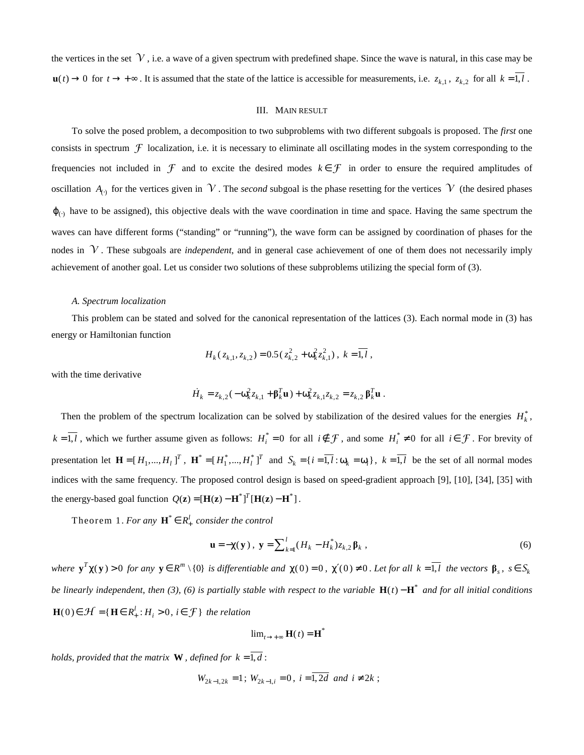the vertices in the set  $\mathcal V$ , i.e. a wave of a given spectrum with predefined shape. Since the wave is natural, in this case may be **u**(*t*) → 0 for *t* → + ∞. It is assumed that the state of the lattice is accessible for measurements, i.e.  $z_{k,1}$ ,  $z_{k,2}$  for all  $k = \overline{1, l}$ .

#### III. MAIN RESULT

 To solve the posed problem, a decomposition to two subproblems with two different subgoals is proposed. The *first* one consists in spectrum  $\mathcal F$  localization, i.e. it is necessary to eliminate all oscillating modes in the system corresponding to the frequencies not included in  $\mathcal F$  and to excite the desired modes  $k \in \mathcal F$  in order to ensure the required amplitudes of oscillation  $A_{(.)}$  for the vertices given in  $V$ . The *second* subgoal is the phase resetting for the vertices  $V$  (the desired phases  $\varphi$ <sub>(.)</sub> have to be assigned), this objective deals with the wave coordination in time and space. Having the same spectrum the waves can have different forms ("standing" or "running"), the wave form can be assigned by coordination of phases for the nodes in  $\mathcal V$ . These subgoals are *independent*, and in general case achievement of one of them does not necessarily imply achievement of another goal. Let us consider two solutions of these subproblems utilizing the special form of (3).

#### *A. Spectrum localization*

 This problem can be stated and solved for the canonical representation of the lattices (3). Each normal mode in (3) has energy or Hamiltonian function

$$
H_k(z_{k,1}, z_{k,2}) = 0.5(z_{k,2}^2 + \omega_k^2 z_{k,1}^2), k = \overline{1, l},
$$

with the time derivative

$$
\dot{H}_k = z_{k,2}(-\omega_k^2 z_{k,1} + \beta_k^T \mathbf{u}) + \omega_k^2 z_{k,1} z_{k,2} = z_{k,2} \beta_k^T \mathbf{u}.
$$

Then the problem of the spectrum localization can be solved by stabilization of the desired values for the energies  $H_k^*$ ,  $k = \overline{1, l}$ , which we further assume given as follows:  $H_i^* = 0$  for all  $i \notin \mathcal{F}$ , and some  $H_i^* \neq 0$  for all  $i \in \mathcal{F}$ . For brevity of presentation let  $\mathbf{H} = [H_1, ..., H_l]^T$ ,  $\mathbf{H}^* = [H_1^*, ..., H_l^*]^T$  and  $S_k = \{i = \overline{1, l} : \omega_k = \omega_i\}$ ,  $k = \overline{1, l}$  be the set of all normal modes indices with the same frequency. The proposed control design is based on speed-gradient approach [9], [10], [34], [35] with the energy-based goal function  $Q(z) = [H(z) - H^*]^T [H(z) - H^*].$ 

Theorem 1. *For any*  $\mathbf{H}^* \in R_+^l$  consider the control

$$
\mathbf{u} = -\chi(\mathbf{y}), \ \mathbf{y} = \sum_{k=1}^{l} (H_k - H_k^*) z_{k,2} \mathbf{\beta}_k \ , \tag{6}
$$

where  $\mathbf{y}^T\chi(\mathbf{y})>0$  for any  $\mathbf{y}\in R^m\setminus\{0\}$  is differentiable and  $\chi(0)=0$ ,  $\chi'(0)\neq 0$ . Let for all  $k=\overline{1,l}$  the vectors  $\beta_s$ ,  $s\in S_k$ *be linearly independent, then (3), (6) is partially stable with respect to the variable*  $H(t) - H^*$  *and for all initial conditions*  $\mathbf{H}(0) \in \mathcal{H} = \{ \mathbf{H} \in R_+^l : H_i > 0, i \in \mathcal{F} \}$  the relation

$$
\lim_{t\to+\infty} \mathbf{H}(t) = \mathbf{H}^*
$$

*holds, provided that the matrix* **W**, *defined for*  $k = \overline{1, d}$ :

$$
W_{2k-1,2k} = 1
$$
;  $W_{2k-1,i} = 0$ ,  $i = \overline{1,2d}$  and  $i \neq 2k$ ;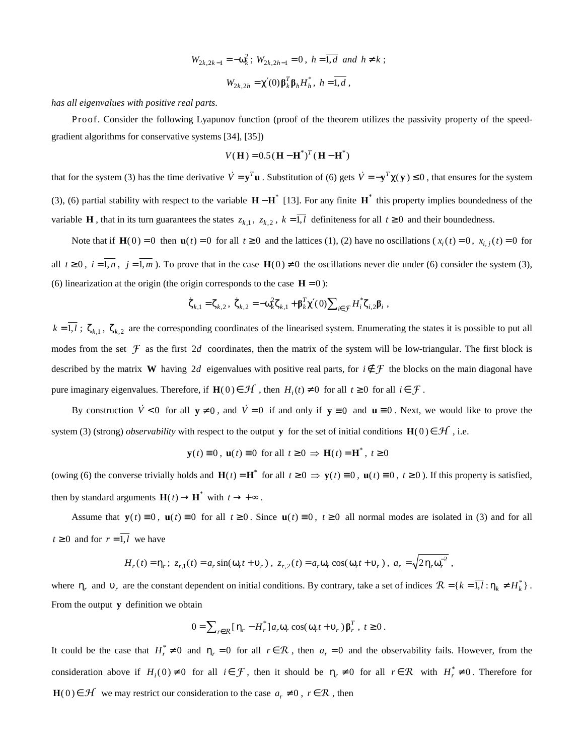$$
W_{2k,2k-1} = -\omega_k^2; \ W_{2k,2h-1} = 0, \ h = \overline{1,d} \ and \ h \neq k;
$$
  

$$
W_{2k,2h} = \chi'(0) \beta_k^T \beta_h H_h^*, \ h = \overline{1,d} ,
$$

*has all eigenvalues with positive real parts*.

 Proof. Consider the following Lyapunov function (proof of the theorem utilizes the passivity property of the speedgradient algorithms for conservative systems [34], [35])

$$
V(H) = 0.5(H - H^*)^T(H - H^*)
$$

that for the system (3) has the time derivative  $\dot{V} = y^T \mathbf{u}$ . Substitution of (6) gets  $\dot{V} = -y^T \chi(\mathbf{y}) \le 0$ , that ensures for the system (3), (6) partial stability with respect to the variable  $H - H^*$  [13]. For any finite  $H^*$  this property implies boundedness of the variable **H**, that in its turn guarantees the states  $z_{k,1}$ ,  $z_{k,2}$ ,  $k = \overline{1,l}$  definiteness for all  $t \ge 0$  and their boundedness.

Note that if  $\mathbf{H}(0) = 0$  then  $\mathbf{u}(t) = 0$  for all  $t \ge 0$  and the lattices (1), (2) have no oscillations ( $x_i(t) = 0$ ,  $x_{i,j}(t) = 0$  for all  $t \ge 0$ ,  $i = \overline{1, n}$ ,  $j = \overline{1, m}$ ). To prove that in the case  $H(0) \ne 0$  the oscillations never die under (6) consider the system (3), (6) linearization at the origin (the origin corresponds to the case  $H = 0$ ):

$$
\dot{\zeta}_{k,1} = \zeta_{k,2}, \ \dot{\zeta}_{k,2} = -\omega_k^2 \zeta_{k,1} + \beta_k^T \chi'(0) \sum_{i \in \mathcal{F}} H_i^* \zeta_{i,2} \beta_i ,
$$

 $k = \overline{1, l}$ ;  $\zeta_{k,1}$ ,  $\zeta_{k,2}$  are the corresponding coordinates of the linearised system. Enumerating the states it is possible to put all modes from the set  $\mathcal F$  as the first 2*d* coordinates, then the matrix of the system will be low-triangular. The first block is described by the matrix **W** having 2*d* eigenvalues with positive real parts, for  $i \notin \mathcal{F}$  the blocks on the main diagonal have pure imaginary eigenvalues. Therefore, if  $\mathbf{H}(0) \in \mathcal{H}$ , then  $H_i(t) \neq 0$  for all  $t \geq 0$  for all  $i \in \mathcal{F}$ .

By construction  $\dot{V} < 0$  for all  $y \neq 0$ , and  $\dot{V} = 0$  if and only if  $y \equiv 0$  and  $u \equiv 0$ . Next, we would like to prove the system (3) (strong) *observability* with respect to the output **y** for the set of initial conditions **H**(0)  $\in \mathcal{H}$ , i.e.

$$
\mathbf{y}(t) \equiv 0
$$
,  $\mathbf{u}(t) \equiv 0$  for all  $t \ge 0 \implies \mathbf{H}(t) = \mathbf{H}^*$ ,  $t \ge 0$ 

(owing (6) the converse trivially holds and  $\mathbf{H}(t) = \mathbf{H}^*$  for all  $t \ge 0 \Rightarrow \mathbf{y}(t) \equiv 0$ ,  $\mathbf{u}(t) \equiv 0$ ,  $t \ge 0$ ). If this property is satisfied, then by standard arguments  $\mathbf{H}(t) \rightarrow \mathbf{H}^*$  with  $t \rightarrow +\infty$ .

Assume that  $\mathbf{y}(t) \equiv 0$ ,  $\mathbf{u}(t) \equiv 0$  for all  $t \ge 0$ . Since  $\mathbf{u}(t) \equiv 0$ ,  $t \ge 0$  all normal modes are isolated in (3) and for all  $t \geq 0$  and for  $r = \overline{1, l}$  we have

$$
H_r(t) = \eta_r; \ z_{r,1}(t) = a_r \sin(\omega_r t + \nu_r), \ z_{r,2}(t) = a_r \omega_r \cos(\omega_r t + \nu_r), \ a_r = \sqrt{2 \eta_r \omega_r^2},
$$

where  $\eta_r$  and  $v_r$  are the constant dependent on initial conditions. By contrary, take a set of indices  $\mathcal{R} = \{k = 1, l : \eta_k \neq H_k^*\}$ . From the output **y** definition we obtain

$$
0 = \sum_{r \in \mathcal{R}} \left[ \eta_r - H_r^* \right] a_r \omega_r \cos(\omega_r t + \nu_r) \beta_r^T, \ t \ge 0.
$$

It could be the case that  $H_r^* \neq 0$  and  $\eta_r = 0$  for all  $r \in \mathcal{R}$ , then  $a_r = 0$  and the observability fails. However, from the consideration above if  $H_i(0) \neq 0$  for all  $i \in \mathcal{F}$ , then it should be  $\eta_r \neq 0$  for all  $r \in \mathcal{R}$  with  $H_i^* \neq 0$ . Therefore for **H**(0)∈  $H$  we may restrict our consideration to the case  $a_r \neq 0$ ,  $r \in \mathbb{R}$ , then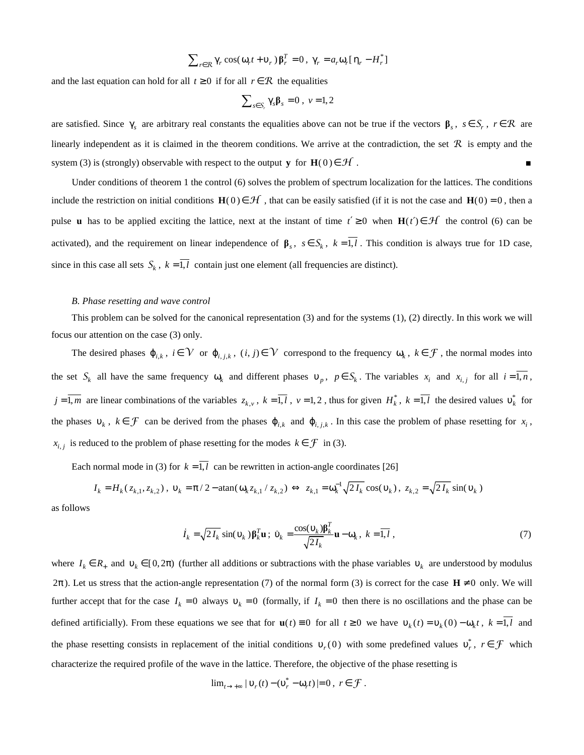$$
\sum_{r \in \mathcal{R}} \gamma_r \cos(\omega_r t + \nu_r) \beta_r^T = 0, \ \gamma_r = a_r \omega_r [\eta_r - H_r^*]
$$

and the last equation can hold for all  $t \geq 0$  if for all  $r \in \mathcal{R}$  the equalities

$$
\sum_{s \in S_r} \gamma_s \beta_s = 0 \ , \ v = 1, 2
$$

are satisfied. Since  $\gamma_s$  are arbitrary real constants the equalities above can not be true if the vectors  $\beta_s$ ,  $s \in S_r$ ,  $r \in \mathbb{R}$  are linearly independent as it is claimed in the theorem conditions. We arrive at the contradiction, the set  $\mathcal R$  is empty and the system (3) is (strongly) observable with respect to the output **y** for **H**(0)  $\in$  *H*.

 Under conditions of theorem 1 the control (6) solves the problem of spectrum localization for the lattices. The conditions include the restriction on initial conditions  $H(0) \in \mathcal{H}$ , that can be easily satisfied (if it is not the case and  $H(0) = 0$ , then a pulse **u** has to be applied exciting the lattice, next at the instant of time  $t' \ge 0$  when  $H(t') \in \mathcal{H}$  the control (6) can be activated), and the requirement on linear independence of  $\beta_s$ ,  $s \in S_k$ ,  $k = 1, l$ . This condition is always true for 1D case, since in this case all sets  $S_k$ ,  $k = 1, l$  contain just one element (all frequencies are distinct).

#### *B. Phase resetting and wave control*

 This problem can be solved for the canonical representation (3) and for the systems (1), (2) directly. In this work we will focus our attention on the case (3) only.

The desired phases  $\varphi_{i,k}$ ,  $i \in V$  or  $\varphi_{i,j,k}$ ,  $(i,j) \in V$  correspond to the frequency  $\omega_k$ ,  $k \in \mathcal{F}$ , the normal modes into the set  $S_k$  all have the same frequency  $\omega_k$  and different phases  $v_p$ ,  $p \in S_k$ . The variables  $x_i$  and  $x_{i,j}$  for all  $i = 1, n$ ,  $j = \overline{1,m}$  are linear combinations of the variables  $z_{k,y}$ ,  $k = \overline{1,l}$ ,  $v = 1, 2$ , thus for given  $H_k^*$ ,  $k = \overline{1,l}$  the desired values  $v_k^*$  for the phases  $v_k$ ,  $k \in \mathcal{F}$  can be derived from the phases  $\varphi_{i,k}$  and  $\varphi_{i,j,k}$ . In this case the problem of phase resetting for  $x_i$ ,  $x_{i,j}$  is reduced to the problem of phase resetting for the modes  $k \in \mathcal{F}$  in (3).

Each normal mode in (3) for  $k = \overline{1, l}$  can be rewritten in action-angle coordinates [26]

$$
I_k = H_k(z_{k,1}, z_{k,2}), \ v_k = \pi/2 - \text{atan}(\omega_k z_{k,1} / z_{k,2}) \Leftrightarrow z_{k,1} = \omega_k^{-1} \sqrt{2 I_k} \cos(v_k), \ z_{k,2} = \sqrt{2 I_k} \sin(v_k)
$$

as follows

$$
\dot{I}_k = \sqrt{2I_k} \sin(\nu_k) \mathbf{\beta}_k^T \mathbf{u} \; ; \; \dot{\mathbf{\nu}}_k = \frac{\cos(\nu_k) \mathbf{\beta}_k^T}{\sqrt{2I_k}} \mathbf{u} - \mathbf{\omega}_k \, , \; k = \overline{1, l} \; , \tag{7}
$$

where  $I_k \in R_+$  and  $v_k \in [0, 2\pi)$  (further all additions or subtractions with the phase variables  $v_k$  are understood by modulus  $2\pi$ ). Let us stress that the action-angle representation (7) of the normal form (3) is correct for the case  $H \neq 0$  only. We will further accept that for the case  $I_k = 0$  always  $v_k = 0$  (formally, if  $I_k = 0$  then there is no oscillations and the phase can be defined artificially). From these equations we see that for  $\mathbf{u}(t) \equiv 0$  for all  $t \ge 0$  we have  $v_k(t) = v_k(0) - \omega_k t$ ,  $k = \overline{1, l}$  and the phase resetting consists in replacement of the initial conditions  $v_r(0)$  with some predefined values  $v_r^*$ ,  $r \in \mathcal{F}$  which characterize the required profile of the wave in the lattice. Therefore, the objective of the phase resetting is

$$
\lim_{t\to+\infty}|\mathfrak{v}_r(t)-(\mathfrak{v}_r^*-\omega_r t)|=0\,,\ r\in\mathcal{F}\;.
$$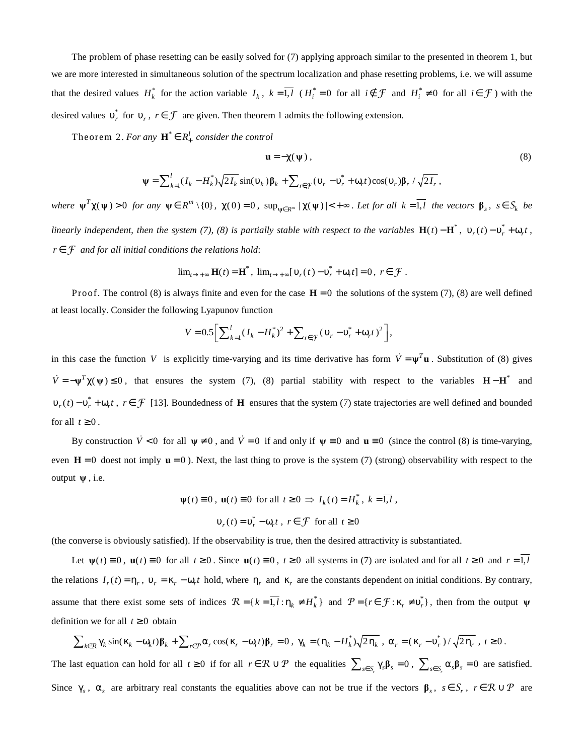The problem of phase resetting can be easily solved for (7) applying approach similar to the presented in theorem 1, but we are more interested in simultaneous solution of the spectrum localization and phase resetting problems, i.e. we will assume that the desired values  $H_k^*$  for the action variable  $I_k$ ,  $k = \overline{1, l}$  ( $H_i^* = 0$  for all  $i \notin \mathcal{F}$  and  $H_i^* \neq 0$  for all  $i \in \mathcal{F}$ ) with the desired values  $v_r^*$  for  $v_r$ ,  $r \in \mathcal{F}$  are given. Then theorem 1 admits the following extension.

Theorem 2. *For any*  $\mathbf{H}^* \in R_+^l$  consider the control

$$
\mathbf{u} = -\chi(\psi) , \qquad (8)
$$

$$
\Psi = \sum_{k=1}^{l} (I_k - H_k^*) \sqrt{2 I_k} \sin(v_k) \mathbf{\beta}_k + \sum_{r \in \mathcal{F}} (v_r - v_r^* + \omega_r t) \cos(v_r) \mathbf{\beta}_r / \sqrt{2 I_r},
$$

where  $\psi^T \chi(\psi) > 0$  for any  $\psi \in R^m \setminus \{0\}$ ,  $\chi(0) = 0$ ,  $\sup_{\psi \in R^m} |\chi(\psi)| < +\infty$ . Let for all  $k = \overline{1, l}$  the vectors  $\beta_s$ ,  $s \in S_k$  be *linearly independent, then the system (7), (8) is partially stable with respect to the variables*  $H(t) - H^*$ ,  $v_r(t) - v_r^* + \omega_r t$ , *r* ∈ F *and for all initial conditions the relations hold*:

$$
\lim_{t\to+\infty} \mathbf{H}(t) = \mathbf{H}^*, \ \lim_{t\to+\infty} [\mathbf{v}_r(t) - \mathbf{v}_r^* + \mathbf{\omega}_r t] = 0, \ r \in \mathcal{F}.
$$

Proof. The control (8) is always finite and even for the case  $H = 0$  the solutions of the system (7), (8) are well defined at least locally. Consider the following Lyapunov function

$$
V = 0.5 \left[ \sum_{k=1}^{l} (I_k - H_k^*)^2 + \sum_{r \in \mathcal{F}} (\nu_r - \nu_r^* + \omega_r t)^2 \right],
$$

in this case the function *V* is explicitly time-varying and its time derivative has form  $\dot{V} = \psi^T \mathbf{u}$ . Substitution of (8) gives  $\dot{V} = -\psi^T \chi(\psi) \le 0$ , that ensures the system (7), (8) partial stability with respect to the variables  $H - H^*$  and  $v_r(t) - v_r^* + \omega_r t$ ,  $r \in \mathcal{F}$  [13]. Boundedness of **H** ensures that the system (7) state trajectories are well defined and bounded for all  $t \geq 0$ .

By construction  $\dot{V} < 0$  for all  $\psi \neq 0$ , and  $\dot{V} = 0$  if and only if  $\psi \equiv 0$  and  $\mathbf{u} \equiv 0$  (since the control (8) is time-varying, even  $H = 0$  doest not imply  $u = 0$ ). Next, the last thing to prove is the system (7) (strong) observability with respect to the output **ψ** , i.e.

$$
\psi(t) \equiv 0, \ \mathbf{u}(t) \equiv 0 \text{ for all } t \ge 0 \implies I_k(t) = H_k^*, \ k = \overline{1, l} ,
$$

$$
\mathbf{v}_r(t) = \mathbf{v}_r^* - \mathbf{\omega}_r t, \ r \in \mathcal{F} \text{ for all } t \ge 0
$$

(the converse is obviously satisfied). If the observability is true, then the desired attractivity is substantiated.

Let  $\psi(t) = 0$ ,  $\mathbf{u}(t) = 0$  for all  $t \ge 0$ . Since  $\mathbf{u}(t) = 0$ ,  $t \ge 0$  all systems in (7) are isolated and for all  $t \ge 0$  and  $r = 1, l$ the relations  $I_r(t) = \eta_r$ ,  $v_r = \kappa_r - \omega_r t$  hold, where  $\eta_r$  and  $\kappa_r$  are the constants dependent on initial conditions. By contrary, assume that there exist some sets of indices  $\mathcal{R} = \{k = \overline{1, l} : \eta_k \neq H_k^*\}$  and  $\mathcal{P} = \{r \in \mathcal{F} : \kappa_r \neq v_r^*\}$ , then from the output  $\psi$ definition we for all  $t \geq 0$  obtain

$$
\sum_{k\in\mathcal{R}}\gamma_k\sin(\kappa_k-\omega_k t)\beta_k+\sum_{r\in\mathcal{P}}\alpha_r\cos(\kappa_r-\omega_r t)\beta_r=0\ ,\ \gamma_k=(\eta_k-H_k^*)\sqrt{2\eta_k}\ ,\ \alpha_r=(\kappa_r-\nu_r^*)/\sqrt{2\eta_r}\ ,\ t\geq 0\ .
$$

The last equation can hold for all  $t \ge 0$  if for all  $r \in \mathcal{R} \cup \mathcal{P}$  the equalities  $\sum_{s \in S_r} \gamma_s \beta_s = 0$ ,  $\sum_{s \in S_r} \alpha_s \beta_s = 0$  are satisfied. Since  $\gamma_s$ ,  $\alpha_s$  are arbitrary real constants the equalities above can not be true if the vectors  $\beta_s$ ,  $s \in S_r$ ,  $r \in \mathcal{R} \cup \mathcal{P}$  are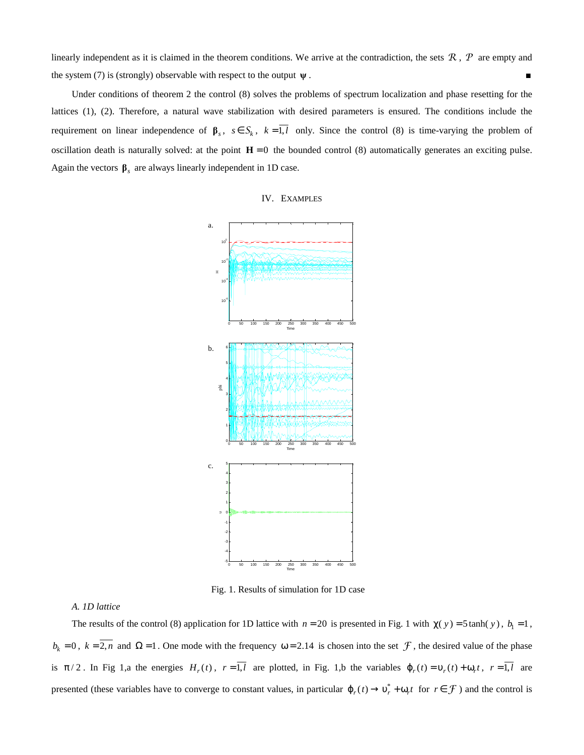linearly independent as it is claimed in the theorem conditions. We arrive at the contradiction, the sets  $R$ ,  $P$  are empty and the system (7) is (strongly) observable with respect to the output  $\psi$ .

 Under conditions of theorem 2 the control (8) solves the problems of spectrum localization and phase resetting for the lattices (1), (2). Therefore, a natural wave stabilization with desired parameters is ensured. The conditions include the requirement on linear independence of  $\beta_s$ ,  $s \in S_k$ ,  $k = 1, l$  only. Since the control (8) is time-varying the problem of oscillation death is naturally solved: at the point  $H = 0$  the bounded control (8) automatically generates an exciting pulse. Again the vectors  $\beta_s$  are always linearly independent in 1D case.

#### IV. EXAMPLES



Fig. 1. Results of simulation for 1D case

### *A. 1D lattice*

The results of the control (8) application for 1D lattice with  $n = 20$  is presented in Fig. 1 with  $\chi(y) = 5 \tanh(y)$ ,  $b_1 = 1$ ,  $b_k = 0$ ,  $k = 2$ , *n* and  $\Omega = 1$ . One mode with the frequency  $\omega = 2.14$  is chosen into the set  $\mathcal F$ , the desired value of the phase is  $\pi/2$ . In Fig 1,a the energies  $H_r(t)$ ,  $r=1, l$  are plotted, in Fig. 1,b the variables  $\varphi_r(t) = v_r(t) + \omega_r t$ ,  $r=1, l$  are presented (these variables have to converge to constant values, in particular  $\varphi_r(t) \to v_r^* + \omega_r t$  for  $r \in \mathcal{F}$ ) and the control is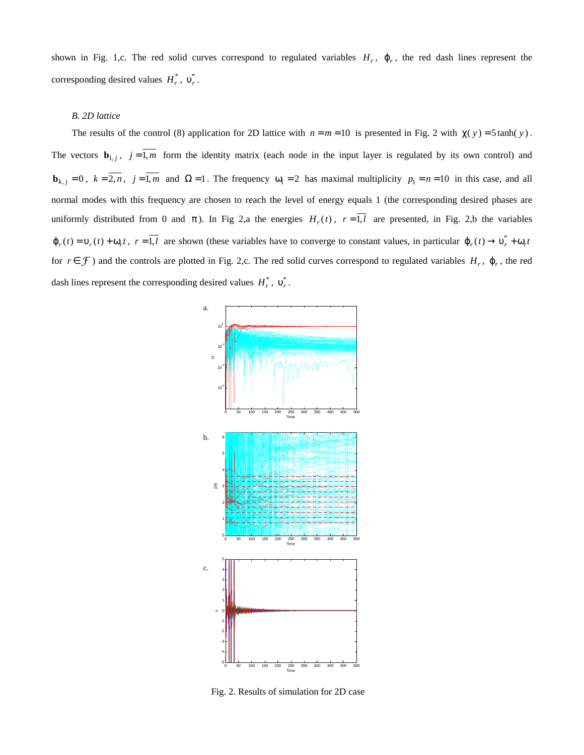shown in Fig. 1,c. The red solid curves correspond to regulated variables  $H_r$ ,  $\varphi_r$ , the red dash lines represent the corresponding desired values  $H_r^*$ ,  $v_r^*$ .

## *B. 2D lattice*

The results of the control (8) application for 2D lattice with  $n = m = 10$  is presented in Fig. 2 with  $\chi(y) = 5 \tanh(y)$ . The vectors  $\mathbf{b}_{1,j}$ ,  $j=1,m$  form the identity matrix (each node in the input layer is regulated by its own control) and **<sub>k, j</sub> = 0, k = 2, n, j = 1, m and**  $\Omega$  **= 1. The frequency**  $\omega_1 = 2$  **has maximal multiplicity**  $p_1 = n = 10$  **in this case, and all** normal modes with this frequency are chosen to reach the level of energy equals 1 (the corresponding desired phases are uniformly distributed from 0 and  $\pi$ ). In Fig 2,a the energies  $H_r(t)$ ,  $r = 1, l$  are presented, in Fig. 2,b the variables  $\varphi_r(t) = \varphi_r(t) + \varphi_r t$ ,  $r = \overline{1, l}$  are shown (these variables have to converge to constant values, in particular  $\varphi_r(t) \to \varphi_r^* + \varphi_r t$ for  $r \in \mathcal{F}$ ) and the controls are plotted in Fig. 2,c. The red solid curves correspond to regulated variables  $H_r$ ,  $\varphi_r$ , the red dash lines represent the corresponding desired values  $H_r^*$ ,  $v_r^*$ .



Fig. 2. Results of simulation for 2D case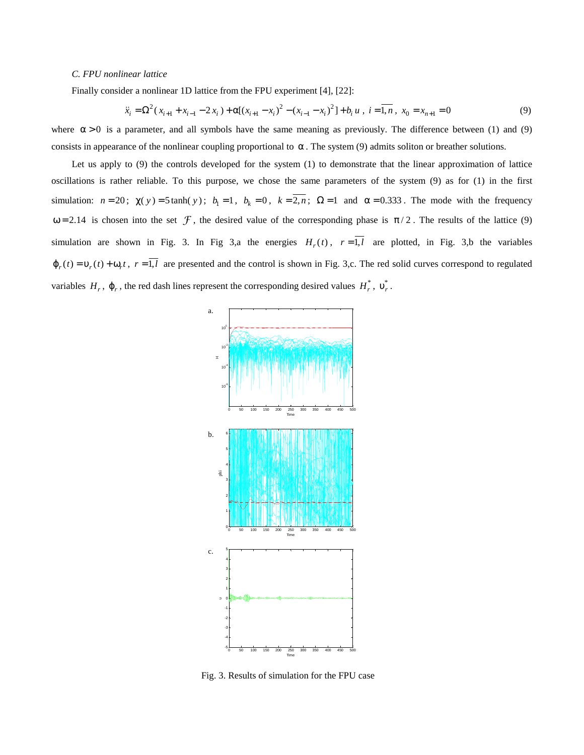## *C. FPU nonlinear lattice*

Finally consider a nonlinear 1D lattice from the FPU experiment [4], [22]:

$$
\ddot{x}_i = \Omega^2 (x_{i+1} + x_{i-1} - 2x_i) + \alpha [(x_{i+1} - x_i)^2 - (x_{i-1} - x_i)^2] + b_i u , i = \overline{1, n} , x_0 = x_{n+1} = 0
$$
\n(9)

where  $\alpha > 0$  is a parameter, and all symbols have the same meaning as previously. The difference between (1) and (9) consists in appearance of the nonlinear coupling proportional to  $\alpha$ . The system (9) admits soliton or breather solutions.

Let us apply to (9) the controls developed for the system (1) to demonstrate that the linear approximation of lattice oscillations is rather reliable. To this purpose, we chose the same parameters of the system (9) as for (1) in the first simulation:  $n = 20$ ;  $\chi(y) = 5 \tanh(y)$ ;  $b_1 = 1$ ,  $b_k = 0$ ,  $k = 2, n$ ;  $\Omega = 1$  and  $\alpha = 0.333$ . The mode with the frequency  $ω = 2.14$  is chosen into the set  $\mathcal{F}$ , the desired value of the corresponding phase is  $π/2$ . The results of the lattice (9) simulation are shown in Fig. 3. In Fig 3,a the energies  $H_r(t)$ ,  $r = 1, l$  are plotted, in Fig. 3,b the variables  $\varphi_r(t) = \varphi_r(t) + \varphi_r t$ ,  $r = \overline{1, l}$  are presented and the control is shown in Fig. 3,c. The red solid curves correspond to regulated variables  $H_r$ ,  $\varphi_r$ , the red dash lines represent the corresponding desired values  $H_r^*$ ,  $v_r^*$ .



Fig. 3. Results of simulation for the FPU case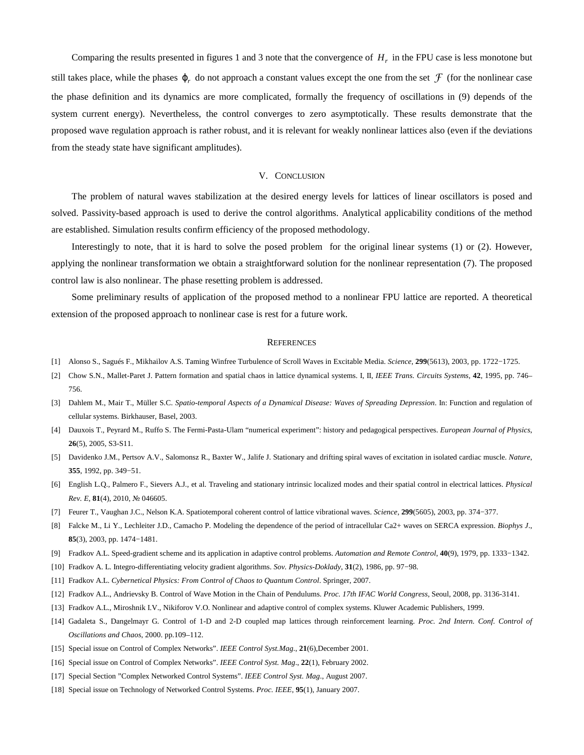Comparing the results presented in figures 1 and 3 note that the convergence of  $H_r$  in the FPU case is less monotone but still takes place, while the phases  $\varphi_r$  do not approach a constant values except the one from the set  $\mathcal F$  (for the nonlinear case the phase definition and its dynamics are more complicated, formally the frequency of oscillations in (9) depends of the system current energy). Nevertheless, the control converges to zero asymptotically. These results demonstrate that the proposed wave regulation approach is rather robust, and it is relevant for weakly nonlinear lattices also (even if the deviations from the steady state have significant amplitudes).

#### V. CONCLUSION

 The problem of natural waves stabilization at the desired energy levels for lattices of linear oscillators is posed and solved. Passivity-based approach is used to derive the control algorithms. Analytical applicability conditions of the method are established. Simulation results confirm efficiency of the proposed methodology.

 Interestingly to note, that it is hard to solve the posed problem for the original linear systems (1) or (2). However, applying the nonlinear transformation we obtain a straightforward solution for the nonlinear representation (7). The proposed control law is also nonlinear. The phase resetting problem is addressed.

 Some preliminary results of application of the proposed method to a nonlinear FPU lattice are reported. A theoretical extension of the proposed approach to nonlinear case is rest for a future work.

#### **REFERENCES**

- [1] Alonso S., Sagués F., Mikhailov A.S. Taming Winfree Turbulence of Scroll Waves in Excitable Media. *Science*, **299**(5613), 2003, pp. 1722−1725.
- [2] Chow S.N., Mallet-Paret J. Pattern formation and spatial chaos in lattice dynamical systems. I, II, *IEEE Trans. Circuits Systems*, **42**, 1995, pp. 746– 756.
- [3] Dahlem M., Mair T., Müller S.C. *Spatio-temporal Aspects of a Dynamical Disease: Waves of Spreading Depression*. In: Function and regulation of cellular systems. Birkhauser, Basel, 2003.
- [4] Dauxois T., Peyrard M., Ruffo S. The Fermi-Pasta-Ulam "numerical experiment": history and pedagogical perspectives. *European Journal of Physics*, **26**(5), 2005, S3-S11.
- [5] Davidenko J.M., Pertsov A.V., Salomonsz R., Baxter W., Jalife J. Stationary and drifting spiral waves of excitation in isolated cardiac muscle. *Nature*, **355**, 1992, pp. 349−51.
- [6] English L.Q., Palmero F., Sievers A.J., et al. Traveling and stationary intrinsic localized modes and their spatial control in electrical lattices. *Physical Rev. E*, **81**(4), 2010, № 046605.
- [7] Feurer T., Vaughan J.C., Nelson K.A. Spatiotemporal coherent control of lattice vibrational waves. *Science*, **299**(5605), 2003, pp. 374−377.
- [8] Falcke M., Li Y., Lechleiter J.D., Camacho P. Modeling the dependence of the period of intracellular Ca2+ waves on SERCA expression. *Biophys J*., **85**(3), 2003, pp. 1474−1481.
- [9] Fradkov A.L. Speed-gradient scheme and its application in adaptive control problems. *Automation and Remote Control*, **40**(9), 1979, pp. 1333−1342.
- [10] Fradkov A. L. Integro-differentiating velocity gradient algorithms. *Sov. Physics-Doklady*, **31**(2), 1986, pp. 97−98.
- [11] Fradkov A.L. *Cybernetical Physics: From Control of Chaos to Quantum Control*. Springer, 2007.
- [12] Fradkov A.L., Andrievsky B. Control of Wave Motion in the Chain of Pendulums. *Proc. 17th IFAC World Congress*, Seoul, 2008, pp. 3136-3141.
- [13] Fradkov A.L., Miroshnik I.V., Nikiforov V.O. Nonlinear and adaptive control of complex systems. Kluwer Academic Publishers, 1999.
- [14] Gadaleta S., Dangelmayr G. Control of 1-D and 2-D coupled map lattices through reinforcement learning. *Proc. 2nd Intern. Conf. Control of Oscillations and Chaos*, 2000. pp.109–112.
- [15] Special issue on Control of Complex Networks". *IEEE Control Syst.Mag*., **21**(6),December 2001.
- [16] Special issue on Control of Complex Networks". *IEEE Control Syst. Mag*., **22**(1), February 2002.
- [17] Special Section "Complex Networked Control Systems". *IEEE Control Syst. Mag*., August 2007.
- [18] Special issue on Technology of Networked Control Systems. *Proc. IEEE*, **95**(1), January 2007.